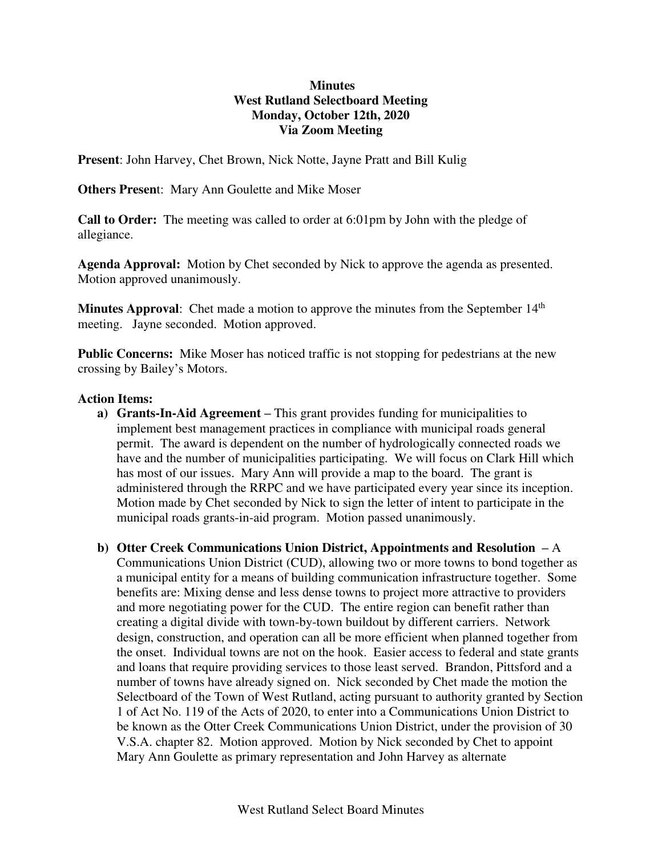### **Minutes West Rutland Selectboard Meeting Monday, October 12th, 2020 Via Zoom Meeting**

**Present**: John Harvey, Chet Brown, Nick Notte, Jayne Pratt and Bill Kulig

**Others Presen**t: Mary Ann Goulette and Mike Moser

**Call to Order:** The meeting was called to order at 6:01pm by John with the pledge of allegiance.

**Agenda Approval:** Motion by Chet seconded by Nick to approve the agenda as presented. Motion approved unanimously.

**Minutes Approval:** Chet made a motion to approve the minutes from the September 14<sup>th</sup> meeting. Jayne seconded. Motion approved.

**Public Concerns:** Mike Moser has noticed traffic is not stopping for pedestrians at the new crossing by Bailey's Motors.

### **Action Items:**

- **a) Grants-In-Aid Agreement –** This grant provides funding for municipalities to implement best management practices in compliance with municipal roads general permit. The award is dependent on the number of hydrologically connected roads we have and the number of municipalities participating. We will focus on Clark Hill which has most of our issues. Mary Ann will provide a map to the board. The grant is administered through the RRPC and we have participated every year since its inception. Motion made by Chet seconded by Nick to sign the letter of intent to participate in the municipal roads grants-in-aid program. Motion passed unanimously.
- **b) Otter Creek Communications Union District, Appointments and Resolution –** A Communications Union District (CUD), allowing two or more towns to bond together as a municipal entity for a means of building communication infrastructure together. Some benefits are: Mixing dense and less dense towns to project more attractive to providers and more negotiating power for the CUD. The entire region can benefit rather than creating a digital divide with town-by-town buildout by different carriers. Network design, construction, and operation can all be more efficient when planned together from the onset. Individual towns are not on the hook. Easier access to federal and state grants and loans that require providing services to those least served. Brandon, Pittsford and a number of towns have already signed on. Nick seconded by Chet made the motion the Selectboard of the Town of West Rutland, acting pursuant to authority granted by Section 1 of Act No. 119 of the Acts of 2020, to enter into a Communications Union District to be known as the Otter Creek Communications Union District, under the provision of 30 V.S.A. chapter 82. Motion approved. Motion by Nick seconded by Chet to appoint Mary Ann Goulette as primary representation and John Harvey as alternate